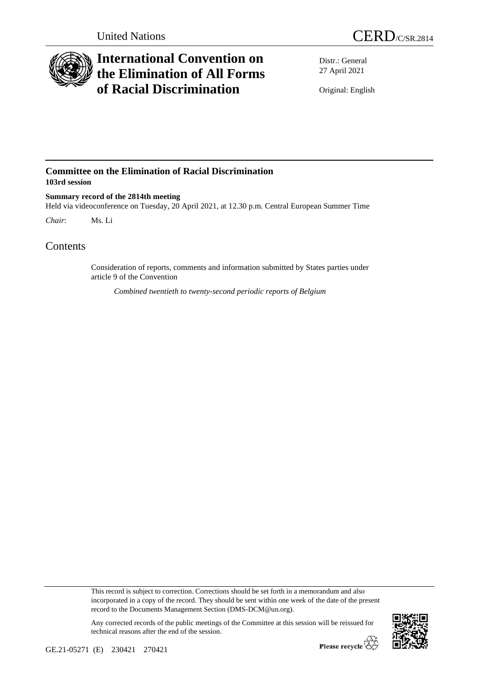

## **International Convention on the Elimination of All Forms of Racial Discrimination**

Distr.: General 27 April 2021

Original: English

## **Committee on the Elimination of Racial Discrimination 103rd session**

**Summary record of the 2814th meeting** Held via videoconference on Tuesday, 20 April 2021, at 12.30 p.m. Central European Summer Time *Chair*: Ms. Li

Contents

Consideration of reports, comments and information submitted by States parties under article 9 of the Convention

*Combined twentieth to twenty-second periodic reports of Belgium*

This record is subject to correction. Corrections should be set forth in a memorandum and also incorporated in a copy of the record. They should be sent within one week of the date of the present record to the Documents Management Section (DMS-DCM@un.org).

Any corrected records of the public meetings of the Committee at this session will be reissued for technical reasons after the end of the session.

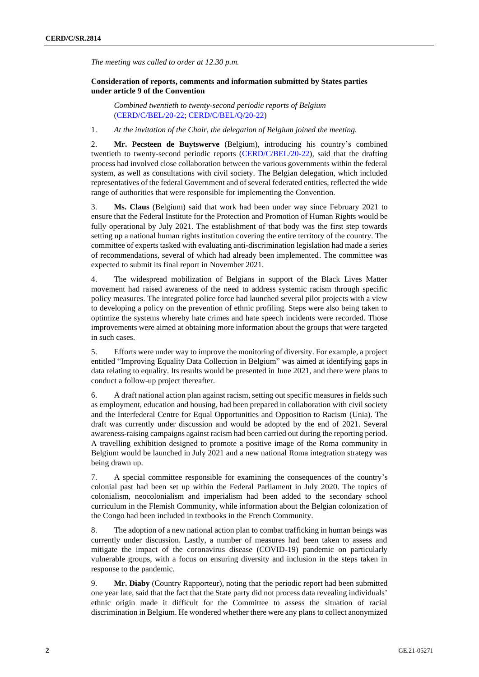*The meeting was called to order at 12.30 p.m.*

## **Consideration of reports, comments and information submitted by States parties under article 9 of the Convention**

*Combined twentieth to twenty-second periodic reports of Belgium*  [\(CERD/C/BEL/20-22;](http://undocs.org/en/CERD/C/BEL/20-22) [CERD/C/BEL/Q/20-22\)](http://undocs.org/en/CERD/C/BEL/Q/20-22)

1. *At the invitation of the Chair, the delegation of Belgium joined the meeting.*

2. **Mr. Pecsteen de Buytswerve** (Belgium), introducing his country's combined twentieth to twenty-second periodic reports [\(CERD/C/BEL/20-22\)](http://undocs.org/en/CERD/C/BEL/20-22), said that the drafting process had involved close collaboration between the various governments within the federal system, as well as consultations with civil society. The Belgian delegation, which included representatives of the federal Government and of several federated entities, reflected the wide range of authorities that were responsible for implementing the Convention.

3. **Ms. Claus** (Belgium) said that work had been under way since February 2021 to ensure that the Federal Institute for the Protection and Promotion of Human Rights would be fully operational by July 2021. The establishment of that body was the first step towards setting up a national human rights institution covering the entire territory of the country. The committee of experts tasked with evaluating anti-discrimination legislation had made a series of recommendations, several of which had already been implemented. The committee was expected to submit its final report in November 2021.

4. The widespread mobilization of Belgians in support of the Black Lives Matter movement had raised awareness of the need to address systemic racism through specific policy measures. The integrated police force had launched several pilot projects with a view to developing a policy on the prevention of ethnic profiling. Steps were also being taken to optimize the systems whereby hate crimes and hate speech incidents were recorded. Those improvements were aimed at obtaining more information about the groups that were targeted in such cases.

5. Efforts were under way to improve the monitoring of diversity. For example, a project entitled "Improving Equality Data Collection in Belgium" was aimed at identifying gaps in data relating to equality. Its results would be presented in June 2021, and there were plans to conduct a follow-up project thereafter.

6. A draft national action plan against racism, setting out specific measures in fields such as employment, education and housing, had been prepared in collaboration with civil society and the Interfederal Centre for Equal Opportunities and Opposition to Racism (Unia). The draft was currently under discussion and would be adopted by the end of 2021. Several awareness-raising campaigns against racism had been carried out during the reporting period. A travelling exhibition designed to promote a positive image of the Roma community in Belgium would be launched in July 2021 and a new national Roma integration strategy was being drawn up.

7. A special committee responsible for examining the consequences of the country's colonial past had been set up within the Federal Parliament in July 2020. The topics of colonialism, neocolonialism and imperialism had been added to the secondary school curriculum in the Flemish Community, while information about the Belgian colonization of the Congo had been included in textbooks in the French Community.

8. The adoption of a new national action plan to combat trafficking in human beings was currently under discussion. Lastly, a number of measures had been taken to assess and mitigate the impact of the coronavirus disease (COVID-19) pandemic on particularly vulnerable groups, with a focus on ensuring diversity and inclusion in the steps taken in response to the pandemic.

9. **Mr. Diaby** (Country Rapporteur), noting that the periodic report had been submitted one year late, said that the fact that the State party did not process data revealing individuals' ethnic origin made it difficult for the Committee to assess the situation of racial discrimination in Belgium. He wondered whether there were any plans to collect anonymized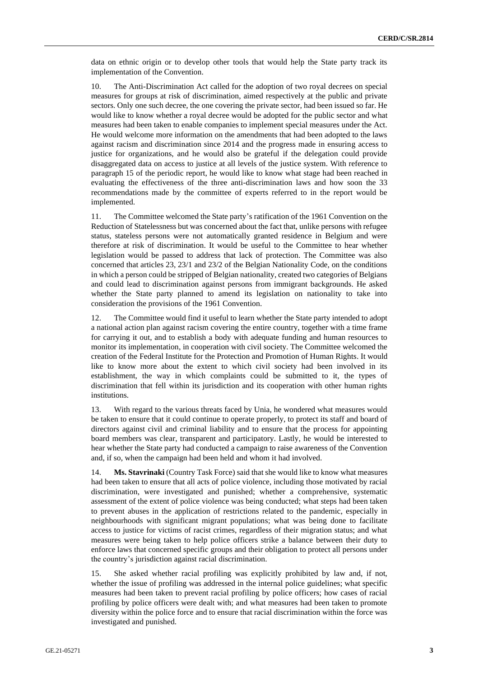data on ethnic origin or to develop other tools that would help the State party track its implementation of the Convention.

10. The Anti-Discrimination Act called for the adoption of two royal decrees on special measures for groups at risk of discrimination, aimed respectively at the public and private sectors. Only one such decree, the one covering the private sector, had been issued so far. He would like to know whether a royal decree would be adopted for the public sector and what measures had been taken to enable companies to implement special measures under the Act. He would welcome more information on the amendments that had been adopted to the laws against racism and discrimination since 2014 and the progress made in ensuring access to justice for organizations, and he would also be grateful if the delegation could provide disaggregated data on access to justice at all levels of the justice system. With reference to paragraph 15 of the periodic report, he would like to know what stage had been reached in evaluating the effectiveness of the three anti-discrimination laws and how soon the 33 recommendations made by the committee of experts referred to in the report would be implemented.

11. The Committee welcomed the State party's ratification of the 1961 Convention on the Reduction of Statelessness but was concerned about the fact that, unlike persons with refugee status, stateless persons were not automatically granted residence in Belgium and were therefore at risk of discrimination. It would be useful to the Committee to hear whether legislation would be passed to address that lack of protection. The Committee was also concerned that articles 23, 23/1 and 23/2 of the Belgian Nationality Code, on the conditions in which a person could be stripped of Belgian nationality, created two categories of Belgians and could lead to discrimination against persons from immigrant backgrounds. He asked whether the State party planned to amend its legislation on nationality to take into consideration the provisions of the 1961 Convention.

12. The Committee would find it useful to learn whether the State party intended to adopt a national action plan against racism covering the entire country, together with a time frame for carrying it out, and to establish a body with adequate funding and human resources to monitor its implementation, in cooperation with civil society. The Committee welcomed the creation of the Federal Institute for the Protection and Promotion of Human Rights. It would like to know more about the extent to which civil society had been involved in its establishment, the way in which complaints could be submitted to it, the types of discrimination that fell within its jurisdiction and its cooperation with other human rights institutions.

13. With regard to the various threats faced by Unia, he wondered what measures would be taken to ensure that it could continue to operate properly, to protect its staff and board of directors against civil and criminal liability and to ensure that the process for appointing board members was clear, transparent and participatory. Lastly, he would be interested to hear whether the State party had conducted a campaign to raise awareness of the Convention and, if so, when the campaign had been held and whom it had involved.

14. **Ms. Stavrinaki** (Country Task Force) said that she would like to know what measures had been taken to ensure that all acts of police violence, including those motivated by racial discrimination, were investigated and punished; whether a comprehensive, systematic assessment of the extent of police violence was being conducted; what steps had been taken to prevent abuses in the application of restrictions related to the pandemic, especially in neighbourhoods with significant migrant populations; what was being done to facilitate access to justice for victims of racist crimes, regardless of their migration status; and what measures were being taken to help police officers strike a balance between their duty to enforce laws that concerned specific groups and their obligation to protect all persons under the country's jurisdiction against racial discrimination.

15. She asked whether racial profiling was explicitly prohibited by law and, if not, whether the issue of profiling was addressed in the internal police guidelines; what specific measures had been taken to prevent racial profiling by police officers; how cases of racial profiling by police officers were dealt with; and what measures had been taken to promote diversity within the police force and to ensure that racial discrimination within the force was investigated and punished.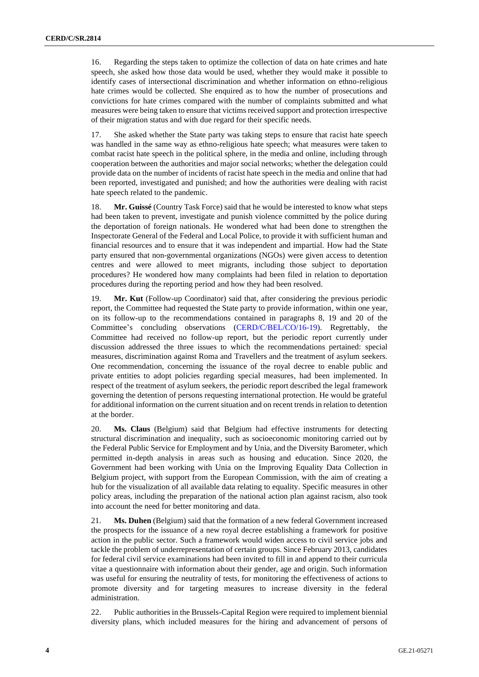16. Regarding the steps taken to optimize the collection of data on hate crimes and hate speech, she asked how those data would be used, whether they would make it possible to identify cases of intersectional discrimination and whether information on ethno-religious hate crimes would be collected. She enquired as to how the number of prosecutions and convictions for hate crimes compared with the number of complaints submitted and what measures were being taken to ensure that victims received support and protection irrespective of their migration status and with due regard for their specific needs.

17. She asked whether the State party was taking steps to ensure that racist hate speech was handled in the same way as ethno-religious hate speech; what measures were taken to combat racist hate speech in the political sphere, in the media and online, including through cooperation between the authorities and major social networks; whether the delegation could provide data on the number of incidents of racist hate speech in the media and online that had been reported, investigated and punished; and how the authorities were dealing with racist hate speech related to the pandemic.

18. **Mr. Guissé** (Country Task Force) said that he would be interested to know what steps had been taken to prevent, investigate and punish violence committed by the police during the deportation of foreign nationals. He wondered what had been done to strengthen the Inspectorate General of the Federal and Local Police, to provide it with sufficient human and financial resources and to ensure that it was independent and impartial. How had the State party ensured that non-governmental organizations (NGOs) were given access to detention centres and were allowed to meet migrants, including those subject to deportation procedures? He wondered how many complaints had been filed in relation to deportation procedures during the reporting period and how they had been resolved.

19. **Mr. Kut** (Follow-up Coordinator) said that, after considering the previous periodic report, the Committee had requested the State party to provide information, within one year, on its follow-up to the recommendations contained in paragraphs 8, 19 and 20 of the Committee's concluding observations [\(CERD/C/BEL/CO/16-19\)](http://undocs.org/en/CERD/C/BEL/CO/16-19). Regrettably, the Committee had received no follow-up report, but the periodic report currently under discussion addressed the three issues to which the recommendations pertained: special measures, discrimination against Roma and Travellers and the treatment of asylum seekers. One recommendation, concerning the issuance of the royal decree to enable public and private entities to adopt policies regarding special measures, had been implemented. In respect of the treatment of asylum seekers, the periodic report described the legal framework governing the detention of persons requesting international protection. He would be grateful for additional information on the current situation and on recent trends in relation to detention at the border.

20. **Ms. Claus** (Belgium) said that Belgium had effective instruments for detecting structural discrimination and inequality, such as socioeconomic monitoring carried out by the Federal Public Service for Employment and by Unia, and the Diversity Barometer, which permitted in-depth analysis in areas such as housing and education. Since 2020, the Government had been working with Unia on the Improving Equality Data Collection in Belgium project, with support from the European Commission, with the aim of creating a hub for the visualization of all available data relating to equality. Specific measures in other policy areas, including the preparation of the national action plan against racism, also took into account the need for better monitoring and data.

21. **Ms. Duhen** (Belgium) said that the formation of a new federal Government increased the prospects for the issuance of a new royal decree establishing a framework for positive action in the public sector. Such a framework would widen access to civil service jobs and tackle the problem of underrepresentation of certain groups. Since February 2013, candidates for federal civil service examinations had been invited to fill in and append to their curricula vitae a questionnaire with information about their gender, age and origin. Such information was useful for ensuring the neutrality of tests, for monitoring the effectiveness of actions to promote diversity and for targeting measures to increase diversity in the federal administration.

22. Public authorities in the Brussels-Capital Region were required to implement biennial diversity plans, which included measures for the hiring and advancement of persons of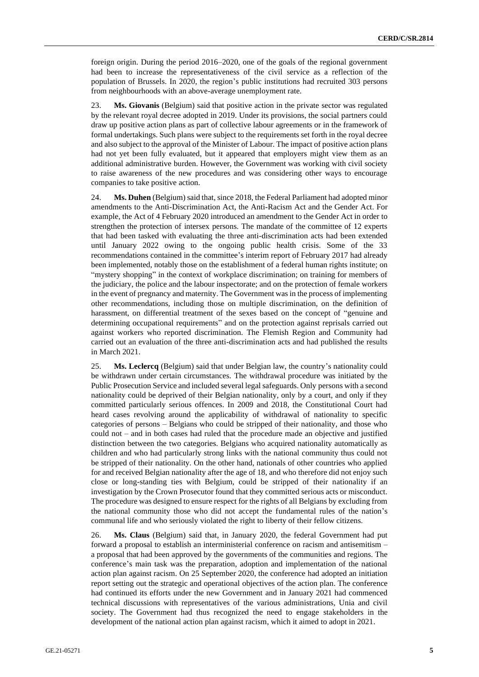foreign origin. During the period 2016–2020, one of the goals of the regional government had been to increase the representativeness of the civil service as a reflection of the population of Brussels. In 2020, the region's public institutions had recruited 303 persons from neighbourhoods with an above-average unemployment rate.

23. **Ms. Giovanis** (Belgium) said that positive action in the private sector was regulated by the relevant royal decree adopted in 2019. Under its provisions, the social partners could draw up positive action plans as part of collective labour agreements or in the framework of formal undertakings. Such plans were subject to the requirements set forth in the royal decree and also subject to the approval of the Minister of Labour. The impact of positive action plans had not yet been fully evaluated, but it appeared that employers might view them as an additional administrative burden. However, the Government was working with civil society to raise awareness of the new procedures and was considering other ways to encourage companies to take positive action.

24. **Ms. Duhen** (Belgium) said that, since 2018, the Federal Parliament had adopted minor amendments to the Anti-Discrimination Act, the Anti-Racism Act and the Gender Act. For example, the Act of 4 February 2020 introduced an amendment to the Gender Act in order to strengthen the protection of intersex persons. The mandate of the committee of 12 experts that had been tasked with evaluating the three anti-discrimination acts had been extended until January 2022 owing to the ongoing public health crisis. Some of the 33 recommendations contained in the committee's interim report of February 2017 had already been implemented, notably those on the establishment of a federal human rights institute; on "mystery shopping" in the context of workplace discrimination; on training for members of the judiciary, the police and the labour inspectorate; and on the protection of female workers in the event of pregnancy and maternity. The Government was in the process of implementing other recommendations, including those on multiple discrimination, on the definition of harassment, on differential treatment of the sexes based on the concept of "genuine and determining occupational requirements" and on the protection against reprisals carried out against workers who reported discrimination. The Flemish Region and Community had carried out an evaluation of the three anti-discrimination acts and had published the results in March 2021.

25. **Ms. Leclercq** (Belgium) said that under Belgian law, the country's nationality could be withdrawn under certain circumstances. The withdrawal procedure was initiated by the Public Prosecution Service and included several legal safeguards. Only persons with a second nationality could be deprived of their Belgian nationality, only by a court, and only if they committed particularly serious offences. In 2009 and 2018, the Constitutional Court had heard cases revolving around the applicability of withdrawal of nationality to specific categories of persons – Belgians who could be stripped of their nationality, and those who could not – and in both cases had ruled that the procedure made an objective and justified distinction between the two categories. Belgians who acquired nationality automatically as children and who had particularly strong links with the national community thus could not be stripped of their nationality. On the other hand, nationals of other countries who applied for and received Belgian nationality after the age of 18, and who therefore did not enjoy such close or long-standing ties with Belgium, could be stripped of their nationality if an investigation by the Crown Prosecutor found that they committed serious acts or misconduct. The procedure was designed to ensure respect for the rights of all Belgians by excluding from the national community those who did not accept the fundamental rules of the nation's communal life and who seriously violated the right to liberty of their fellow citizens.

26. **Ms. Claus** (Belgium) said that, in January 2020, the federal Government had put forward a proposal to establish an interministerial conference on racism and antisemitism – a proposal that had been approved by the governments of the communities and regions. The conference's main task was the preparation, adoption and implementation of the national action plan against racism. On 25 September 2020, the conference had adopted an initiation report setting out the strategic and operational objectives of the action plan. The conference had continued its efforts under the new Government and in January 2021 had commenced technical discussions with representatives of the various administrations, Unia and civil society. The Government had thus recognized the need to engage stakeholders in the development of the national action plan against racism, which it aimed to adopt in 2021.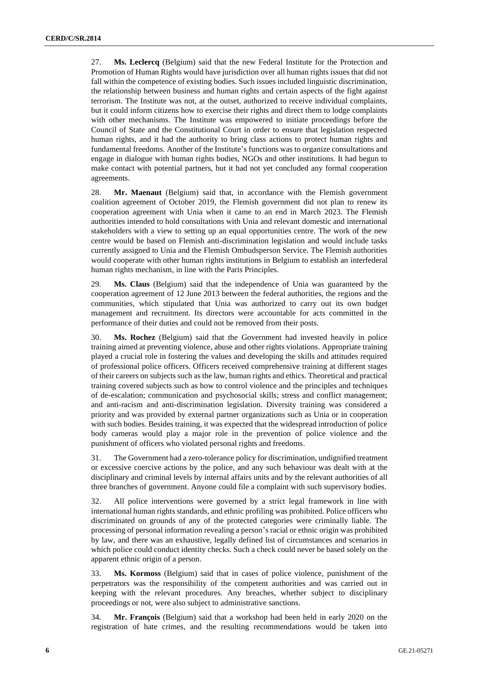27. **Ms. Leclercq** (Belgium) said that the new Federal Institute for the Protection and Promotion of Human Rights would have jurisdiction over all human rights issues that did not fall within the competence of existing bodies. Such issues included linguistic discrimination, the relationship between business and human rights and certain aspects of the fight against terrorism. The Institute was not, at the outset, authorized to receive individual complaints, but it could inform citizens how to exercise their rights and direct them to lodge complaints with other mechanisms. The Institute was empowered to initiate proceedings before the Council of State and the Constitutional Court in order to ensure that legislation respected human rights, and it had the authority to bring class actions to protect human rights and fundamental freedoms. Another of the Institute's functions was to organize consultations and engage in dialogue with human rights bodies, NGOs and other institutions. It had begun to make contact with potential partners, but it had not yet concluded any formal cooperation agreements.

28. **Mr. Maenaut** (Belgium) said that, in accordance with the Flemish government coalition agreement of October 2019, the Flemish government did not plan to renew its cooperation agreement with Unia when it came to an end in March 2023. The Flemish authorities intended to hold consultations with Unia and relevant domestic and international stakeholders with a view to setting up an equal opportunities centre. The work of the new centre would be based on Flemish anti-discrimination legislation and would include tasks currently assigned to Unia and the Flemish Ombudsperson Service. The Flemish authorities would cooperate with other human rights institutions in Belgium to establish an interfederal human rights mechanism, in line with the Paris Principles.

29. **Ms. Claus** (Belgium) said that the independence of Unia was guaranteed by the cooperation agreement of 12 June 2013 between the federal authorities, the regions and the communities, which stipulated that Unia was authorized to carry out its own budget management and recruitment. Its directors were accountable for acts committed in the performance of their duties and could not be removed from their posts.

30. **Ms. Rochez** (Belgium) said that the Government had invested heavily in police training aimed at preventing violence, abuse and other rights violations. Appropriate training played a crucial role in fostering the values and developing the skills and attitudes required of professional police officers. Officers received comprehensive training at different stages of their careers on subjects such as the law, human rights and ethics. Theoretical and practical training covered subjects such as how to control violence and the principles and techniques of de-escalation; communication and psychosocial skills; stress and conflict management; and anti-racism and anti-discrimination legislation. Diversity training was considered a priority and was provided by external partner organizations such as Unia or in cooperation with such bodies. Besides training, it was expected that the widespread introduction of police body cameras would play a major role in the prevention of police violence and the punishment of officers who violated personal rights and freedoms.

31. The Government had a zero-tolerance policy for discrimination, undignified treatment or excessive coercive actions by the police, and any such behaviour was dealt with at the disciplinary and criminal levels by internal affairs units and by the relevant authorities of all three branches of government. Anyone could file a complaint with such supervisory bodies.

32. All police interventions were governed by a strict legal framework in line with international human rights standards, and ethnic profiling was prohibited. Police officers who discriminated on grounds of any of the protected categories were criminally liable. The processing of personal information revealing a person's racial or ethnic origin was prohibited by law, and there was an exhaustive, legally defined list of circumstances and scenarios in which police could conduct identity checks. Such a check could never be based solely on the apparent ethnic origin of a person.

33. **Ms. Kormoss** (Belgium) said that in cases of police violence, punishment of the perpetrators was the responsibility of the competent authorities and was carried out in keeping with the relevant procedures. Any breaches, whether subject to disciplinary proceedings or not, were also subject to administrative sanctions.

34. **Mr. François** (Belgium) said that a workshop had been held in early 2020 on the registration of hate crimes, and the resulting recommendations would be taken into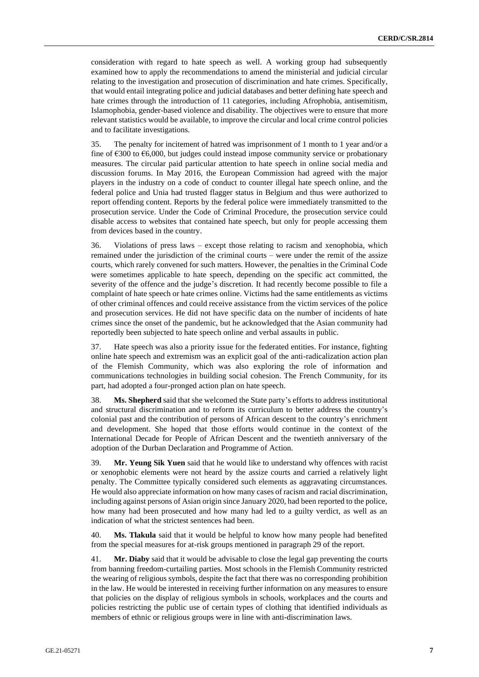consideration with regard to hate speech as well. A working group had subsequently examined how to apply the recommendations to amend the ministerial and judicial circular relating to the investigation and prosecution of discrimination and hate crimes. Specifically, that would entail integrating police and judicial databases and better defining hate speech and hate crimes through the introduction of 11 categories, including Afrophobia, antisemitism, Islamophobia, gender-based violence and disability. The objectives were to ensure that more relevant statistics would be available, to improve the circular and local crime control policies and to facilitate investigations.

35. The penalty for incitement of hatred was imprisonment of 1 month to 1 year and/or a fine of €300 to €6,000, but judges could instead impose community service or probationary measures. The circular paid particular attention to hate speech in online social media and discussion forums. In May 2016, the European Commission had agreed with the major players in the industry on a code of conduct to counter illegal hate speech online, and the federal police and Unia had trusted flagger status in Belgium and thus were authorized to report offending content. Reports by the federal police were immediately transmitted to the prosecution service. Under the Code of Criminal Procedure, the prosecution service could disable access to websites that contained hate speech, but only for people accessing them from devices based in the country.

36. Violations of press laws – except those relating to racism and xenophobia, which remained under the jurisdiction of the criminal courts – were under the remit of the assize courts, which rarely convened for such matters. However, the penalties in the Criminal Code were sometimes applicable to hate speech, depending on the specific act committed, the severity of the offence and the judge's discretion. It had recently become possible to file a complaint of hate speech or hate crimes online. Victims had the same entitlements as victims of other criminal offences and could receive assistance from the victim services of the police and prosecution services. He did not have specific data on the number of incidents of hate crimes since the onset of the pandemic, but he acknowledged that the Asian community had reportedly been subjected to hate speech online and verbal assaults in public.

37. Hate speech was also a priority issue for the federated entities. For instance, fighting online hate speech and extremism was an explicit goal of the anti-radicalization action plan of the Flemish Community, which was also exploring the role of information and communications technologies in building social cohesion. The French Community, for its part, had adopted a four-pronged action plan on hate speech.

38. **Ms. Shepherd** said that she welcomed the State party's efforts to address institutional and structural discrimination and to reform its curriculum to better address the country's colonial past and the contribution of persons of African descent to the country's enrichment and development. She hoped that those efforts would continue in the context of the International Decade for People of African Descent and the twentieth anniversary of the adoption of the Durban Declaration and Programme of Action.

39. **Mr. Yeung Sik Yuen** said that he would like to understand why offences with racist or xenophobic elements were not heard by the assize courts and carried a relatively light penalty. The Committee typically considered such elements as aggravating circumstances. He would also appreciate information on how many cases of racism and racial discrimination, including against persons of Asian origin since January 2020, had been reported to the police, how many had been prosecuted and how many had led to a guilty verdict, as well as an indication of what the strictest sentences had been.

40. **Ms. Tlakula** said that it would be helpful to know how many people had benefited from the special measures for at-risk groups mentioned in paragraph 29 of the report.

41. **Mr. Diaby** said that it would be advisable to close the legal gap preventing the courts from banning freedom-curtailing parties. Most schools in the Flemish Community restricted the wearing of religious symbols, despite the fact that there was no corresponding prohibition in the law. He would be interested in receiving further information on any measures to ensure that policies on the display of religious symbols in schools, workplaces and the courts and policies restricting the public use of certain types of clothing that identified individuals as members of ethnic or religious groups were in line with anti-discrimination laws.